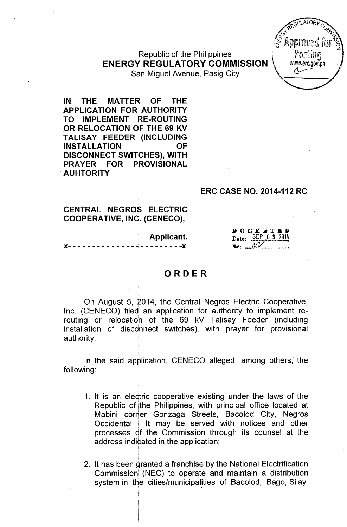GULATOR www.erc.gov.ph

:Republic of the Philippines ENERGY REGULATORY COMMISSION. San Miguel Avenue, Pasig City

IN THE MATTER OF THE APPLICATION FOR; AUTHORITY TO IMPLEMENT RE-ROUTING .OR RELOCATION OF THE 69 KV TALISAY FEEDER (INCLUDING INSTALLATION OF DISCONNECT SWITCHES), WITH PRAYER FOR PROVISIONAL AUHTORITY

#### ERC CASE NO. 2014-112 RC

#### CENTRAL NEGROS ELECTRIC COOPERATIVE, INO. (CENECO),

! , Applicant.

 $\cdot$  - - - - - - -  $\chi$ 

#### $B$  O  $C K$  is  $T$  if it Date: SEP 0 3 2014  $\mathbf{I}$  w:  $\mathbf{I}$

#### ORDER

On August 5, 2014, the Central Negros Electric Cooperative, Inc. (CENECO) filed an application for authority to implement rerouting or relocatioh of the 69 kV Talisay Feeder (including installation of disconnect switches), with prayer for provisional authority.

In the said application, CENECO alleged, among others, the following:

- 1. It is an eleqtric cooperative existing under the laws of the Republic of jthe Philippines, with principal office located at Mabini corner Gonzaga Streets, Bacolod City, Negros Occidental. It may be served with notices and other processes of the Commission through its counsel at the address indicated in the application
- 2. It has been granted a franchise by the National Electrification Commission (NEC) to operate and maintain a distribution system in the cities/municipalities of Bacolod, Bago, Silay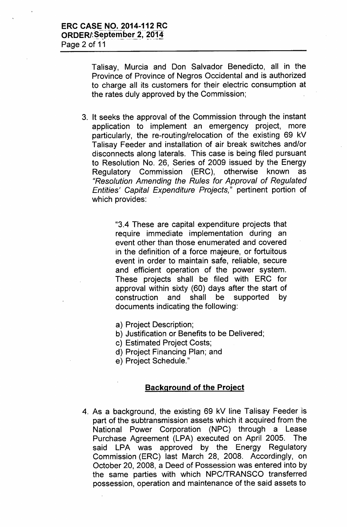Talisay, Murcia and Don Salvador Benedicto, all in the Province of Province of Negros Occidental and is authorized to charge all its customers for their electric consumption at the rates duly approved by the Commission;

3. It seeks the approval of the Commission through the instant application to implement an emergency project, more particularly, the re-routing/relocation of the existing 69 kV Talisay Feeder and installation of air break switches and/or disconnects along laterals. This case is being filed pursuant to Resolution No. 26, Series of 2009 issued by the Energy Regulatory Commission (ERC), otherwise known as *{(Resolution Amending the Rules for Approval* of *Regulated Entities' Capital Expenditure Projects,"* pertinent portion of which provides:

> "3.4 These are capital expenditure projects that require immediate implementation during an event other than those enumerated and covered in the definition of a force majeure, or fortuitous event in order to maintain safe, reliable, secure and efficient operation of the power system. These projects shall be filed with ERC for approval within sixty (60) days after the start of construction and shall be supported by documents indicating the following:

- a) Project Description;
- b) Justification or Benefits to be Delivered;
- c) Estimated Project Costs;
- d) Project Financing Plan; and
- e) Project Schedule."

## Background of the Project

4. As a background, the existing 69 kV line Talisay Feeder is part of the subtransmission assets which it acquired from the National Power Corporation (NPC) through a Lease Purchase Agreement (LPA) executed on April 2005. The said LPA was approved by the Energy Regulatory Commission (ERC) last March 28, 2008. Accordingly, on October 20, 2008, a Deed of Possession was entered into by the same parties with which NPCITRANSCO transferred possession, operation and maintenance of the said assets to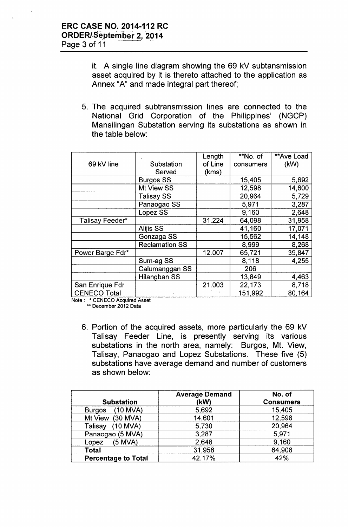it. A single line diagram showing the 69 kV subtansmission asset acquired by it is thereto attached to the application as Annex "A" and made integral part thereof;

5. The acquired subtransmission lines are connected to the National Grid Corporation of the Philippines' (NGCP) Mansilingan Substation serving its substations as shown in the table below:

|                  |                       | Length  | **No. of  | **Ave Load |
|------------------|-----------------------|---------|-----------|------------|
| 69 kV line       | Substation            | of Line | consumers | (kW)       |
|                  | Served                | (kms)   |           |            |
|                  | <b>Burgos SS</b>      |         | 15,405    | 5,692      |
|                  | <b>Mt View SS</b>     |         | 12,598    | 14,600     |
|                  | <b>Talisay SS</b>     |         | 20,964    | 5,729      |
|                  | Panaogao SS           |         | 5,971     | 3,287      |
|                  | Lopez SS              |         | 9,160     | 2,648      |
| Talisay Feeder*  |                       | 31.224  | 64,098    | 31,958     |
|                  | <b>Alijis SS</b>      |         | 41,160    | 17,071     |
|                  | Gonzaga SS            |         | 15,562    | 14,148     |
|                  | <b>Reclamation SS</b> |         | 8,999     | 8,268      |
| Power Barge Fdr* |                       | 12.007  | 65,721    | 39,847     |
|                  | Sum-ag SS             |         | 8,118     | 4,255      |
|                  | Calumanggan SS        |         | 206       |            |
|                  | Hilangban SS          |         | 13,849    | 4,463      |
| San Enrique Fdr  |                       | 21.003  | 22,173    | 8,718      |
| CENECO Total     |                       |         | 151,992   | 80,164     |

Note: \* CENECO Acquired Asset

\*\* December 2012 Data

6. Portion of the acquired assets, more particularly the 69 kV Talisay Feeder Line, is presently serving its various substations in the north area, namely: Burgos, Mt. View, Talisay, Panaogao and Lopez Substations. These five (5) substations have average demand and number of customers as shown below:

|                             | <b>Average Demand</b> | No. of           |
|-----------------------------|-----------------------|------------------|
| <b>Substation</b>           | (kW)                  | <b>Consumers</b> |
| $(10$ MVA)<br><b>Burgos</b> | 5,692                 | 15,405           |
| Mt View (30 MVA)            | 14,601                | 12,598           |
| $(10$ MVA)<br>Talisay       | 5,730                 | 20,964           |
| Panaogao (5 MVA)            | 3,287                 | 5,971            |
| $(5$ MVA)<br>Lopez          | 2,648                 | 9,160            |
| Total                       | 31,958                | 64,908           |
| <b>Percentage to Total</b>  | 42.17%                | 42%              |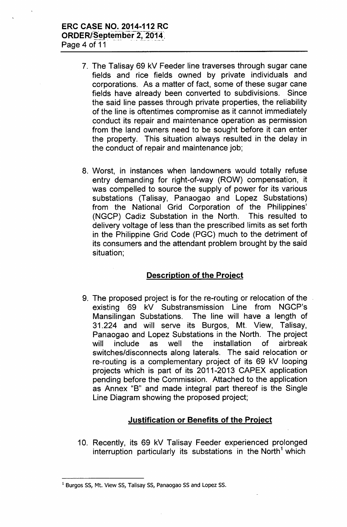# **ERC CASE NO. 2014-112 RC** ORDER/September 2, 2014.

Page 4 of 11

- 7. The Talisay 69 kV Feeder line traverses through sugar cane fields and rice fields owned by private individuals and corporations. As a matter of fact, some of these sugar cane fields have already been converted to subdivisions. Since the said line passes through private properties, the reliability of the line is oftentimes compromise as it cannot immediately conduct its repair and maintenance operation as permission from the land owners need to be sought before it can enter the property. This situation always resulted in the delay in the conduct of repair and maintenance job;
- 8. Worst, in instances when landowners would totally refuse entry demanding for right-of-way (ROW) compensation, it was compelled to source the supply of power for its various substations (Talisay, Panaogao and Lopez Substations) from the National Grid Corporation of the Philippines' (NGCP) Cadiz Substation in the North. This resulted to delivery voltage of less than the prescribed limits as set forth in the Philippine Grid Code (PGC) much to the detriment of its consumers and the attendant problem brought by the said situation;

## **Description of the Project**

9. The proposed project is for the re-routing or relocation of the existing 69 kV Substransmission Line from NGCP's Mansilingan Substations. The line will have a length of 31.224 and will serve its Burgos, Mt. View, Talisay, Panaogao and Lopez Substations in the North. The project will include as well the installation of airbreak switches/disconnects along laterals. The said relocation or re-routing is a complementary project of its 69 kV looping projects which is part of its 2011-2013 CAPEX application pending before the Commission. Attached to the application as Annex "B" and made integral part thereof is the Single Line Diagram showing the proposed project;

## **Justification or Benefits of the Project**

1O. Recently, its 69 kV Talisay Feeder experienced prolonged interruption particularly its substations in the North<sup>1</sup> which

<sup>&</sup>lt;sup>1</sup> Burgos SS, Mt. View SS, Talisay SS, Panaogao SS and Lopez SS.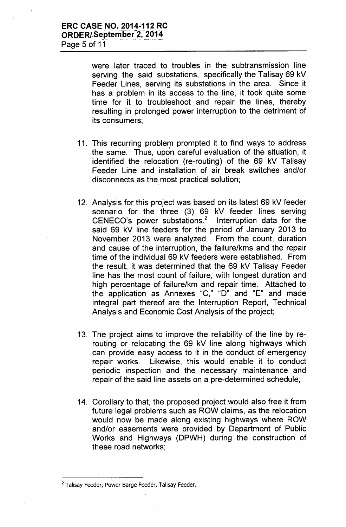were later traced to troubles in the subtransmission line serving the said substations, specifically the Talisay 69 kV Feeder Lines, serving its substations in the area. Since it has a problem in its access to the line, it took quite some time for it to troubleshoot and repair the lines, thereby resulting in prolonged power interruption to the detriment of its consumers;

- 11. This recurring problem prompted it to find ways to address the same. Thus, upon careful evaluation of the situation, it identified the relocation (re-routing) of the 69 kV Talisay Feeder Line and installation of air break switches and/or disconnects as the most practical solution;
- 12. Analysis for this project was based on its latest 69 kV feeder scenario for the three (3) 69 kV feeder lines serving CENECO's power substations.<sup>2</sup> Interruption data for the said 69 kV line feeders for the period of January 2013 to November 2013 were analyzed. From the count, duration and cause of the interruption, the failure/kms and the repair time of the individual 69 kV feeders were established. From the result, it was determined that the 69 kV Talisay Feeder line has the most count of failure, with longest duration and high percentage of failure/km and repair time. Attached to the application as Annexes "C," "D" and "E" and made integral part thereof are the Interruption Report, Technical Analysis and Economic Cost Analysis of the project;
- 13. The project aims to improve the reliability of the line by rerouting or relocating the 69 kV line along highways which can provide easy access to it in the conduct of emergency repair works. Likewise, this would enable it to conduct periodic inspection and the necessary maintenance and repair of the said line assets on a pre-determined schedule;
- 14. Corollary to that, the proposed project would also free it from future legal problems such as ROW claims, as the relocation would now be made along existing highways where ROW and/or easements were provided by Department of Public Works and Highways (DPWH) during the construction of these road networks;

<sup>&</sup>lt;sup>2</sup> Talisay Feeder, Power Barge Feeder, Talisay Feeder.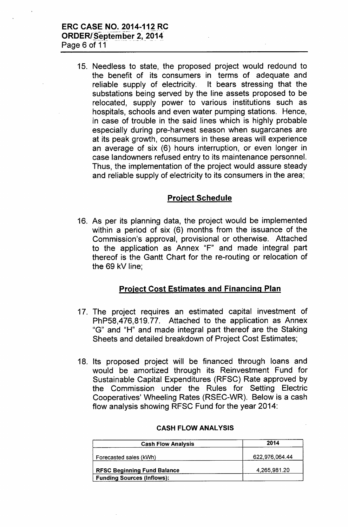15. Needless to state, the proposed project would redound to the benefit of its consumers in terms of adequate and reliable supply of electricity. It bears stressing that the substations being served by the line assets proposed to be relocated, supply power to various institutions such as hospitals, schools and even water pumping stations. Hence, in case of trouble in the said lines which is highly probable especially during pre-harvest season when sugarcanes are at its peak growth, consumers in these areas will experience an average of six (6) hours interruption, or even longer in case landowners refused entry to its maintenance personnel. Thus, the implementation of the project would assure steady and reliable supply of electricity to its consumers in the area;

## Project Schedule

16. As per its planning data, the project would be implemented within a period of six (6) months from the issuance of the Commission's approval, provisional or otherwise. Attached to the application as Annex "F" and made integral part thereof is the Gantt Chart for the re-routing or relocation of the 69 kV line;

# Project Cost Estimates and Financing Plan

- 17. The project requires an estimated capital investment of PhP58,476,819.77. Attached to the application as Annex "G" and "H" and made integral part thereof are the Staking Sheets and detailed breakdown of Project Cost Estimates;
- 18. Its proposed project will be financed through loans and would be amortized through its Reinvestment Fund for Sustainable Capital Expenditures (RFSC) Rate approved by the Commission under the Rules for Setting Electric Cooperatives' Wheeling Rates (RSEC-WR). Below is a cash flow analysis showing RFSC Fund for the year 2014:

| <b>Cash Flow Analysis</b>          | 2014           |
|------------------------------------|----------------|
| Forecasted sales (kWh)             | 622,976,064.44 |
| <b>RFSC Beginning Fund Balance</b> | 4,265,981.20   |
| <b>Funding Sources (Inflows):</b>  |                |

#### CASH FLOW ANALYSIS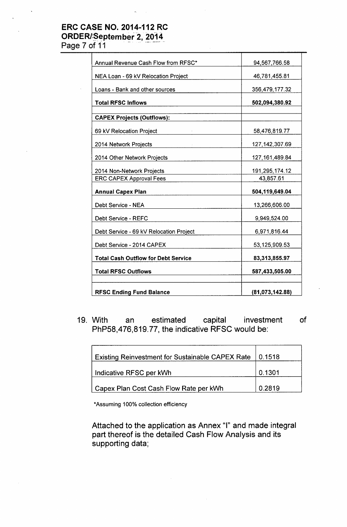### ERC CASE NO. 2014-112 RC ORDER/September 2, 2014

Page 7 of 11

| Annual Revenue Cash Flow from RFSC*        | 94,567,766.58    |
|--------------------------------------------|------------------|
| NEA Loan - 69 kV Relocation Project        | 46,781,455.81    |
| Loans - Bank and other sources             | 356,479,177.32   |
| <b>Total RFSC Inflows</b>                  | 502,094,380.92   |
| <b>CAPEX Projects (Outflows):</b>          |                  |
| 69 kV Relocation Project                   | 58,476,819.77    |
| 2014 Network Projects                      | 127, 142, 307.69 |
| 2014 Other Network Projects                | 127, 161, 489.84 |
| 2014 Non-Network Projects                  | 191,295,174.12   |
| <b>ERC CAPEX Approval Fees</b>             | 43,857.61        |
| <b>Annual Capex Plan</b>                   | 504,119,649.04   |
| Debt Service - NEA                         | 13,266,606.00    |
| Debt Service - REFC                        | 9,949,524.00     |
| Debt Service - 69 kV Relocation Project    | 6,971,816.44     |
| Debt Service - 2014 CAPEX                  | 53,125,909.53    |
| <b>Total Cash Outflow for Debt Service</b> | 83,313,855.97    |
| <b>Total RFSC Outflows</b>                 | 587,433,505.00   |
| <b>RFSC Ending Fund Balance</b>            | (81,073,142.88)  |

19. With an estimated capital investment of PhP58,476,819.77, the indicative RFSC would be:

| Existing Reinvestment for Sustainable CAPEX Rate   0.1518 |        |
|-----------------------------------------------------------|--------|
| Indicative RFSC per kWh                                   | 0.1301 |
| Capex Plan Cost Cash Flow Rate per kWh                    | 0.2819 |

\*Assuming 100% collection efficiency

Attached to the application as Annex "I" and made integral part thereof is the detailed Cash Flow Analysis and its supporting data;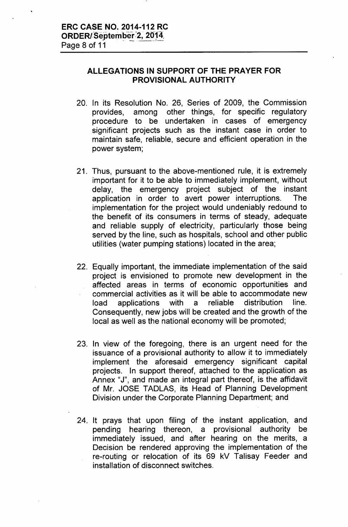#### **ALLEGATIONS IN SUPPORT OF THE PRAYER FOR PROVISIONAL AUTHORITY**

- 20. In its Resolution No. 26, Series of 2009, the Commission provides, among other things, for specific regulatory procedure to be undertaken in cases of emergency significant projects such as the instant case in order to maintain safe, reliable, secure and efficient operation in the power system;
- 21. Thus, pursuant to the above-mentioned rule, it is extremely important for it to be able to immediately implement, without delay, the emergency project subject of the instant application in order to avert power interruptions. The implementation for the project would undeniably redound to the benefit of its consumers in terms of steady, adequate and reliable supply of electricity, particularly those being served by the line, such as hospitals, school and other public utilities (water pumping stations) located in the area;
- 22. Equally important, the immediate implementation of the said project is envisioned to promote new development in the affected areas in terms of economic opportunities and commercial activities as it will be able to accommodate new load applications with a reliable distribution line. Consequently, new jobs will be created and the growth of the local as well as the national economy will be promoted;
- 23. In view of the foregoing, there is an urgent need for the issuance of a provisional authority to allow it to immediately implement the aforesaid emergency significant capital projects. In support thereof, attached to the application as Annex "J", and made an integral part thereof, is the affidavit of Mr. JOSE TADLAS, its Head of Planning Development Division under the Corporate Planning Department; and
- 24. It prays that upon filing of the instant application, and pending hearing thereon, a provisional authority be immediately issued, and after hearing on the merits, a Decision be rendered approving the implementation of the re-routing or relocation of its 69 kV Talisay Feeder and installation of disconnect switches.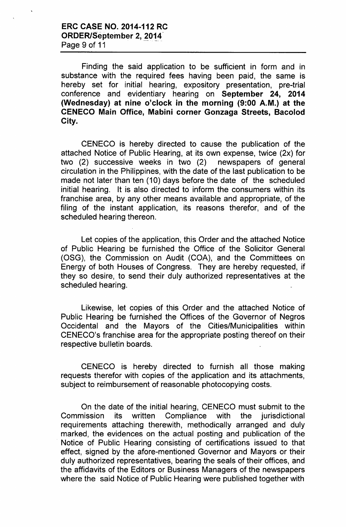Finding the said application to be sufficient in form and in substance with the required fees having been paid, the same is hereby set for initial hearing, expository presentation, pre-trial conference and evidentiary hearing on September 24, 2014 (Wednesday) at nine o'clock in the morning (9:00 A.M.) at the CENECO Main Office, Mabini corner Gonzaga Streets, Bacolod City.

CENECO is hereby directed to cause the publication of the attached Notice of Public Hearing, at its own expense, twice (2x) for two (2) successive weeks in two (2) newspapers of general circulation in the Philippines, with the date of the last publication to be made not later than ten (10) days before the date of the scheduled initial hearing. It is also directed to inform the consumers within its franchise area, by any other means available and appropriate, of the filing of the instant application, its reasons therefor, and of the scheduled hearing thereon.

Let copies of the application, this Order and the attached Notice of Public Hearing be furnished the Office of the Solicitor General (OSG), the Commission on Audit (COA), and the Committees on Energy of both Houses of Congress. They are hereby requested, if they so desire, to send their duly authorized representatives at the scheduled hearing.

Likewise, let copies of this Order and the attached Notice of Public Hearing be furnished the Offices of the Governor of Negros Occidental and the Mayors of the Cities/Municipalities within CENECO's franchise area for the appropriate posting thereof on their respective bulletin boards.

CENECO is hereby directed to furnish all those making requests therefor with copies of the application and its attachments, subject to reimbursement of reasonable photocopying costs.

On the date of the initial hearing, CENECO must submit to the Commission its written Compliance with the jurisdictional requirements attaching therewith, methodically arranged and duly marked, the evidences on the actual posting and publication of the Notice of Public Hearing consisting of certifications issued to that effect, signed by the afore-mentioned Governor and Mayors or their duly authorized representatives, bearing the seals of their offices, and the affidavits of the Editors or Business Managers of the newspapers where the said Notice of Public Hearing were published together with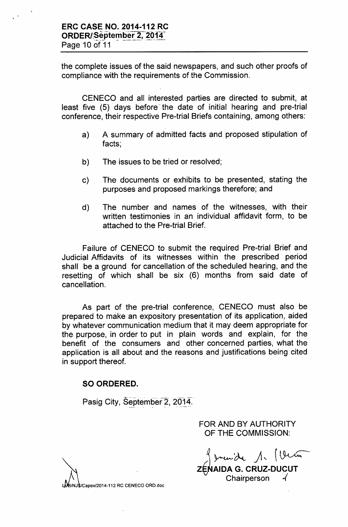the complete issues of the said newspapers, and such other proofs of compliance with the requirements of the Commission.

CENECO and all interested parties are directed to submit, at least five (5) days before the date of initial hearing and pre-trial conference, their respective Pre-trial Briefs containing, among others:

- a) A summary of admitted facts and proposed stipulation of facts;
- b) The issues to be tried or resolved;
- c) The documents or exhibits to be presented, stating the purposes and proposed markings therefore; and
- d) The number and names of the witnesses, with their written testimonies in an individual affidavit form, to be attached to the Pre-trial Brief.

Failure of CENECO to submit the required Pre-trial Brief and Judicial Affidavits of its witnesses within the prescribed period shall be a ground for cancellation of the scheduled hearing, and the resetting of which shall be six (6) months from said date of cancellation.

As part of the pre-trial conference, CENECO must also be prepared to make an expository presentation of its application, aided by whatever communication medium that it may deem appropriate for the purpose, in order to put in plain words and explain, for the benefit of the consumers and other concerned parties, what the application is all about and the reasons and justifications being cited in support thereof.

## SO ORDERED.

Pasig City, September 2, 2014.

FOR AND BY AUTHORITY OF THE COMMISSION:

 $\int$  smanider  $\int \cdot \int \cdot \cdot \cdot \cdot \cdot$ 

ZENAIDA G. CRUZ-DUCU **Chairperson** 

(Capex/2014-112 RC CENECO ORD.doc